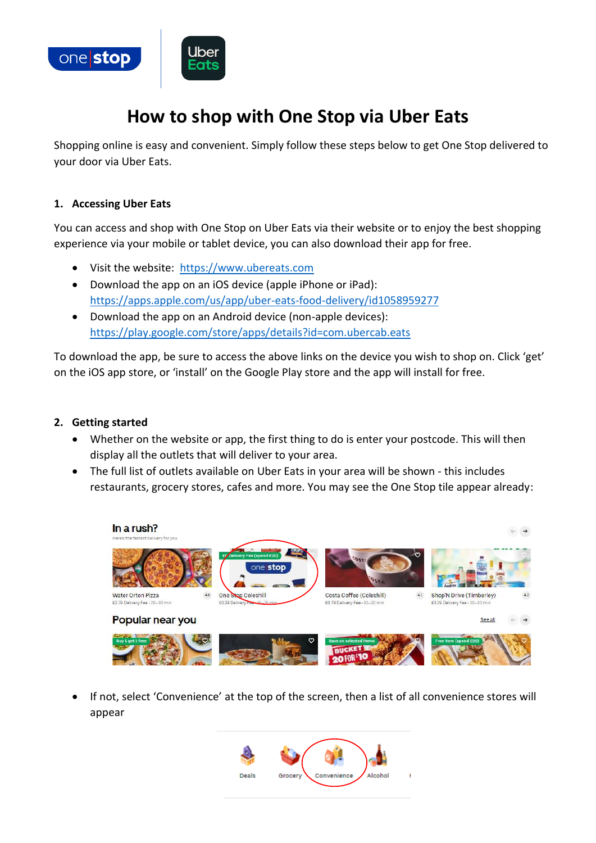

# **How to shop with One Stop via Uber Eats**

Shopping online is easy and convenient. Simply follow these steps below to get One Stop delivered to your door via Uber Eats.

#### **1. Accessing Uber Eats**

You can access and shop with One Stop on Uber Eats via their website or to enjoy the best shopping experience via your mobile or tablet device, you can also download their app for free.

- Visit the website: [https://www.ubereats.com](https://www.ubereats.com/)
- Download the app on an iOS device (apple iPhone or iPad): <https://apps.apple.com/us/app/uber-eats-food-delivery/id1058959277>
- Download the app on an Android device (non-apple devices): <https://play.google.com/store/apps/details?id=com.ubercab.eats>

To download the app, be sure to access the above links on the device you wish to shop on. Click 'get' on the iOS app store, or 'install' on the Google Play store and the app will install for free.

## **2. Getting started**

- Whether on the website or app, the first thing to do is enter your postcode. This will then display all the outlets that will deliver to your area.
- The full list of outlets available on Uber Eats in your area will be shown this includes restaurants, grocery stores, cafes and more. You may see the One Stop tile appear already:



• If not, select 'Convenience' at the top of the screen, then a list of all convenience stores will appear

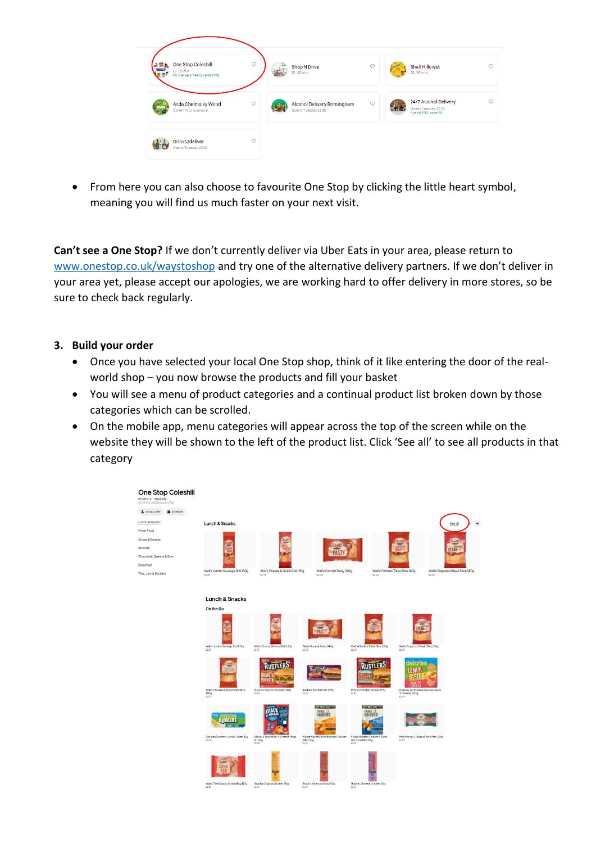

• From here you can also choose to favourite One Stop by clicking the little heart symbol, meaning you will find us much faster on your next visit.

**Can't see a One Stop?** If we don't currently deliver via Uber Eats in your area, please return to [www.onestop.co.uk/waystoshop](http://www.onestop.co.uk/waystoshop) and try one of the alternative delivery partners. If we don't deliver in your area yet, please accept our apologies, we are working hard to offer delivery in more stores, so be sure to check back regularly.

## **3. Build your order**

- Once you have selected your local One Stop shop, think of it like entering the door of the realworld shop – you now browse the products and fill your basket
- You will see a menu of product categories and a continual product list broken down by those categories which can be scrolled.
- On the mobile app, menu categories will appear across the top of the screen while on the website they will be shown to the left of the product list. Click 'See all' to see all products in that category

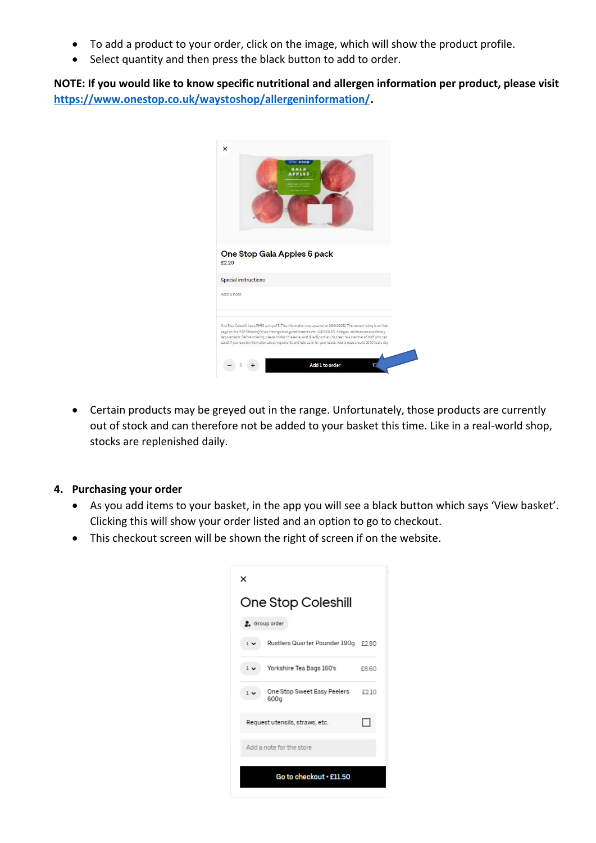- To add a product to your order, click on the image, which will show the product profile.
- Select quantity and then press the black button to add to order.

**NOTE: If you would like to know specific nutritional and allergen information per product, please visit [https://www.onestop.co.uk/waystoshop/allergeninformation/.](https://www.onestop.co.uk/waystoshop/allergeninformation/)** 

|            |                             | one stop<br>GALA<br><b>APPLES</b> |                                                                                                                                                                                                                                                                                                                                                                                                                                                                                             |  |
|------------|-----------------------------|-----------------------------------|---------------------------------------------------------------------------------------------------------------------------------------------------------------------------------------------------------------------------------------------------------------------------------------------------------------------------------------------------------------------------------------------------------------------------------------------------------------------------------------------|--|
|            |                             |                                   |                                                                                                                                                                                                                                                                                                                                                                                                                                                                                             |  |
| £2.20      | One Stop Gala Apples 6 pack |                                   |                                                                                                                                                                                                                                                                                                                                                                                                                                                                                             |  |
|            | <b>Special instructions</b> |                                   |                                                                                                                                                                                                                                                                                                                                                                                                                                                                                             |  |
| Add a note |                             |                                   |                                                                                                                                                                                                                                                                                                                                                                                                                                                                                             |  |
|            |                             |                                   | One Stop Coleshill has a FHRS rating of 5. This information was updated on 08/04/2022. The current rating is on their<br>page on the [FSA Website](https://ratings.food.gov.uk/business/en-GB/535657). Allergies, intolerances and dietary<br>requirements: Before ordering, please contact the restaurant directly and ask to speak to a member of staff who can<br>assist if you require information about ingredients and help cater for your needs. Adults need around 2000 kcal a day. |  |
|            |                             |                                   |                                                                                                                                                                                                                                                                                                                                                                                                                                                                                             |  |

• Certain products may be greyed out in the range. Unfortunately, those products are currently out of stock and can therefore not be added to your basket this time. Like in a real-world shop, stocks are replenished daily.

#### **4. Purchasing your order**

- As you add items to your basket, in the app you will see a black button which says 'View basket'. Clicking this will show your order listed and an option to go to checkout.
- This checkout screen will be shown the right of screen if on the website.

| ×                                                     |      |  |  |  |  |  |  |
|-------------------------------------------------------|------|--|--|--|--|--|--|
| One Stop Coleshill                                    |      |  |  |  |  |  |  |
| 2. Group order                                        |      |  |  |  |  |  |  |
| Rustlers Quarter Pounder 190g £2.80<br>$1 \vee$       |      |  |  |  |  |  |  |
| Yorkshire Tea Bags 160's<br>$1 -$                     | £660 |  |  |  |  |  |  |
| One Stop Sweet Easy Peelers<br>1 <sub>1</sub><br>600g | £210 |  |  |  |  |  |  |
| Request utensils, straws, etc.                        |      |  |  |  |  |  |  |
| Add a note for the store                              |      |  |  |  |  |  |  |
| Go to checkout . £11.50                               |      |  |  |  |  |  |  |